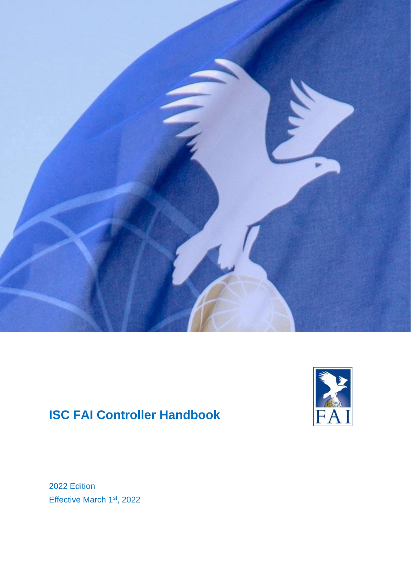

# **ISC FAI Controller Handbook**



2022 Edition Effective March 1<sup>st</sup>, 2022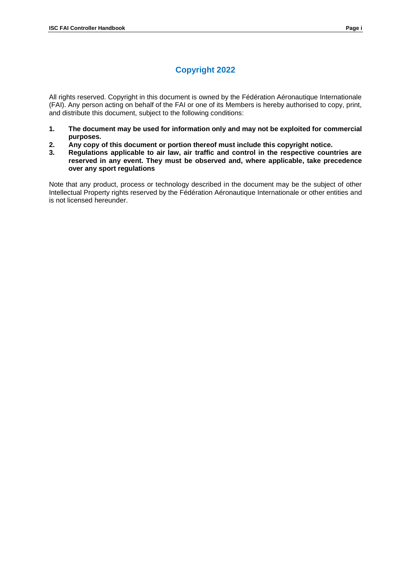## **Copyright 2022**

All rights reserved. Copyright in this document is owned by the Fédération Aéronautique Internationale (FAI). Any person acting on behalf of the FAI or one of its Members is hereby authorised to copy, print, and distribute this document, subject to the following conditions:

- **1. The document may be used for information only and may not be exploited for commercial purposes.**
- **2. Any copy of this document or portion thereof must include this copyright notice.**
- **3. Regulations applicable to air law, air traffic and control in the respective countries are reserved in any event. They must be observed and, where applicable, take precedence over any sport regulations**

Note that any product, process or technology described in the document may be the subject of other Intellectual Property rights reserved by the Fédération Aéronautique Internationale or other entities and is not licensed hereunder.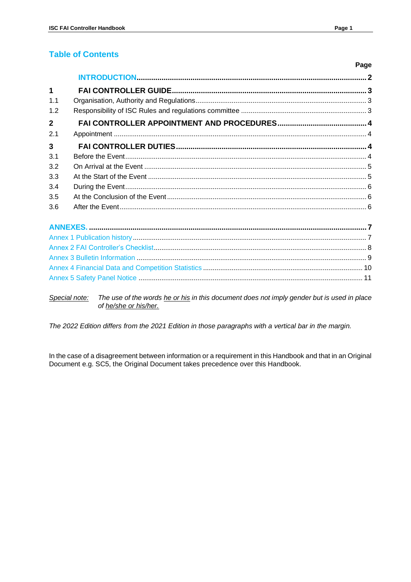### **Table of Contents**

|                         | Page |
|-------------------------|------|
|                         |      |
| $\mathbf 1$             |      |
| 1 <sub>1</sub>          |      |
| 1.2                     |      |
| $\overline{2}$          |      |
| 2.1                     |      |
| $\overline{\mathbf{3}}$ |      |
| 3.1                     |      |
| 3.2                     |      |
| 3.3                     |      |
| 3.4                     |      |
| 3.5                     |      |
| 3.6                     |      |
|                         |      |
|                         |      |
|                         |      |
|                         |      |
|                         |      |

Special note: The use of the words he or his in this document does not imply gender but is used in place of he/she or his/her.

The 2022 Edition differs from the 2021 Edition in those paragraphs with a vertical bar in the margin.

In the case of a disagreement between information or a requirement in this Handbook and that in an Original Document e.g. SC5, the Original Document takes precedence over this Handbook.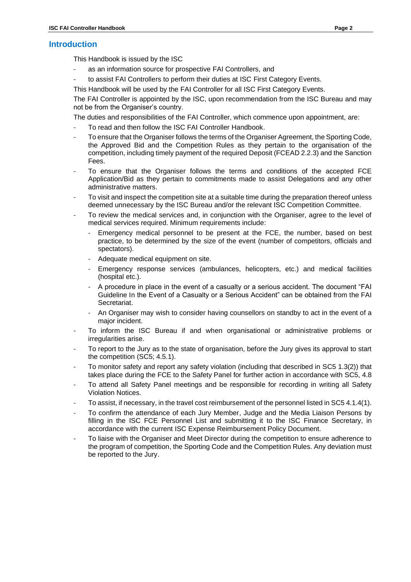### **Introduction**

This Handbook is issued by the ISC

- as an information source for prospective FAI Controllers, and
- to assist FAI Controllers to perform their duties at ISC First Category Events.

This Handbook will be used by the FAI Controller for all ISC First Category Events.

The FAI Controller is appointed by the ISC, upon recommendation from the ISC Bureau and may not be from the Organiser's country.

The duties and responsibilities of the FAI Controller, which commence upon appointment, are:

- To read and then follow the ISC FAI Controller Handbook.
- To ensure that the Organiser follows the terms of the Organiser Agreement, the Sporting Code, the Approved Bid and the Competition Rules as they pertain to the organisation of the competition, including timely payment of the required Deposit (FCEAD 2.2.3) and the Sanction Fees.
- To ensure that the Organiser follows the terms and conditions of the accepted FCE Application/Bid as they pertain to commitments made to assist Delegations and any other administrative matters.
- To visit and inspect the competition site at a suitable time during the preparation thereof unless deemed unnecessary by the ISC Bureau and/or the relevant ISC Competition Committee.
- To review the medical services and, in conjunction with the Organiser, agree to the level of medical services required. Minimum requirements include:
	- Emergency medical personnel to be present at the FCE, the number, based on best practice, to be determined by the size of the event (number of competitors, officials and spectators).
	- Adequate medical equipment on site.
	- Emergency response services (ambulances, helicopters, etc.) and medical facilities (hospital etc.).
	- A procedure in place in the event of a casualty or a serious accident. The document "FAI Guideline In the Event of a Casualty or a Serious Accident" can be obtained from the FAI Secretariat.
	- An Organiser may wish to consider having counsellors on standby to act in the event of a major incident.
- To inform the ISC Bureau if and when organisational or administrative problems or irregularities arise.
- To report to the Jury as to the state of organisation, before the Jury gives its approval to start the competition (SC5; 4.5.1).
- To monitor safety and report any safety violation (including that described in SC5 1.3(2)) that takes place during the FCE to the Safety Panel for further action in accordance with SC5, 4.8
- To attend all Safety Panel meetings and be responsible for recording in writing all Safety Violation Notices.
- To assist, if necessary, in the travel cost reimbursement of the personnel listed in SC5 4.1.4(1).
- To confirm the attendance of each Jury Member, Judge and the Media Liaison Persons by filling in the ISC FCE Personnel List and submitting it to the ISC Finance Secretary, in accordance with the current ISC Expense Reimbursement Policy Document.
- To liaise with the Organiser and Meet Director during the competition to ensure adherence to the program of competition, the Sporting Code and the Competition Rules. Any deviation must be reported to the Jury.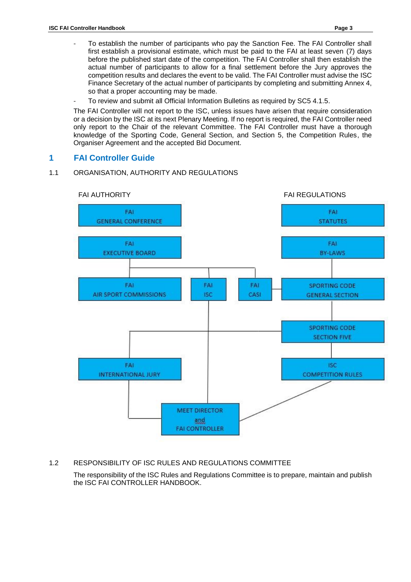- To establish the number of participants who pay the Sanction Fee. The FAI Controller shall first establish a provisional estimate, which must be paid to the FAI at least seven (7) days before the published start date of the competition. The FAI Controller shall then establish the actual number of participants to allow for a final settlement before the Jury approves the competition results and declares the event to be valid. The FAI Controller must advise the ISC Finance Secretary of the actual number of participants by completing and submitting Annex 4, so that a proper accounting may be made.
- To review and submit all Official Information Bulletins as required by SC5 4.1.5.

The FAI Controller will not report to the ISC, unless issues have arisen that require consideration or a decision by the ISC at its next Plenary Meeting. If no report is required, the FAI Controller need only report to the Chair of the relevant Committee. The FAI Controller must have a thorough knowledge of the Sporting Code, General Section, and Section 5, the Competition Rules, the Organiser Agreement and the accepted Bid Document.

### <span id="page-4-0"></span>**1 FAI Controller Guide**

#### <span id="page-4-1"></span>1.1 ORGANISATION, AUTHORITY AND REGULATIONS



#### <span id="page-4-2"></span>1.2 RESPONSIBILITY OF ISC RULES AND REGULATIONS COMMITTEE

The responsibility of the ISC Rules and Regulations Committee is to prepare, maintain and publish the ISC FAI CONTROLLER HANDBOOK.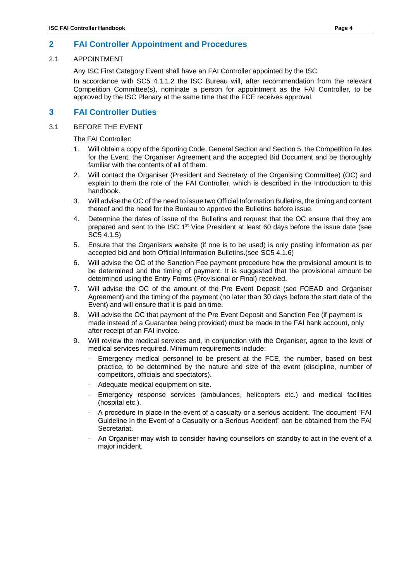#### <span id="page-5-1"></span><span id="page-5-0"></span>2.1 APPOINTMENT

Any ISC First Category Event shall have an FAI Controller appointed by the ISC.

In accordance with SC5 4.1.1.2 the ISC Bureau will, after recommendation from the relevant Competition Committee(s), nominate a person for appointment as the FAI Controller, to be approved by the ISC Plenary at the same time that the FCE receives approval.

### <span id="page-5-2"></span>**3 FAI Controller Duties**

#### <span id="page-5-3"></span>3.1 BEFORE THE EVENT

The FAI Controller:

- 1. Will obtain a copy of the Sporting Code, General Section and Section 5, the Competition Rules for the Event, the Organiser Agreement and the accepted Bid Document and be thoroughly familiar with the contents of all of them.
- 2. Will contact the Organiser (President and Secretary of the Organising Committee) (OC) and explain to them the role of the FAI Controller, which is described in the Introduction to this handbook.
- 3. Will advise the OC of the need to issue two Official Information Bulletins, the timing and content thereof and the need for the Bureau to approve the Bulletins before issue.
- 4. Determine the dates of issue of the Bulletins and request that the OC ensure that they are prepared and sent to the ISC 1<sup>st</sup> Vice President at least 60 days before the issue date (see SC5 4.1.5)
- 5. Ensure that the Organisers website (if one is to be used) is only posting information as per accepted bid and both Official Information Bulletins.(see SC5 4.1.6)
- 6. Will advise the OC of the Sanction Fee payment procedure how the provisional amount is to be determined and the timing of payment. It is suggested that the provisional amount be determined using the Entry Forms (Provisional or Final) received.
- 7. Will advise the OC of the amount of the Pre Event Deposit (see FCEAD and Organiser Agreement) and the timing of the payment (no later than 30 days before the start date of the Event) and will ensure that it is paid on time.
- 8. Will advise the OC that payment of the Pre Event Deposit and Sanction Fee (if payment is made instead of a Guarantee being provided) must be made to the FAI bank account, only after receipt of an FAI invoice.
- 9. Will review the medical services and, in conjunction with the Organiser, agree to the level of medical services required. Minimum requirements include:
	- Emergency medical personnel to be present at the FCE, the number, based on best practice, to be determined by the nature and size of the event (discipline, number of competitors, officials and spectators).
	- Adequate medical equipment on site.
	- Emergency response services (ambulances, helicopters etc.) and medical facilities (hospital etc.).
	- A procedure in place in the event of a casualty or a serious accident. The document "FAI Guideline In the Event of a Casualty or a Serious Accident" can be obtained from the FAI Secretariat.
	- An Organiser may wish to consider having counsellors on standby to act in the event of a major incident.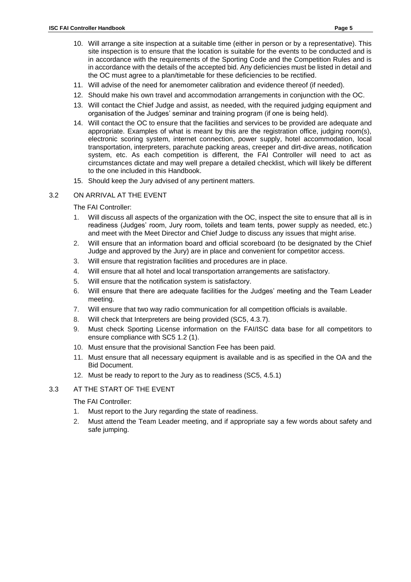- 11. Will advise of the need for anemometer calibration and evidence thereof (if needed).
- 12. Should make his own travel and accommodation arrangements in conjunction with the OC.
- 13. Will contact the Chief Judge and assist, as needed, with the required judging equipment and organisation of the Judges' seminar and training program (if one is being held).
- 14. Will contact the OC to ensure that the facilities and services to be provided are adequate and appropriate. Examples of what is meant by this are the registration office, judging room(s), electronic scoring system, internet connection, power supply, hotel accommodation, local transportation, interpreters, parachute packing areas, creeper and dirt-dive areas, notification system, etc. As each competition is different, the FAI Controller will need to act as circumstances dictate and may well prepare a detailed checklist, which will likely be different to the one included in this Handbook.
- 15. Should keep the Jury advised of any pertinent matters.

#### <span id="page-6-0"></span>3.2 ON ARRIVAL AT THE EVENT

The FAI Controller:

- 1. Will discuss all aspects of the organization with the OC, inspect the site to ensure that all is in readiness (Judges' room, Jury room, toilets and team tents, power supply as needed, etc.) and meet with the Meet Director and Chief Judge to discuss any issues that might arise.
- 2. Will ensure that an information board and official scoreboard (to be designated by the Chief Judge and approved by the Jury) are in place and convenient for competitor access.
- 3. Will ensure that registration facilities and procedures are in place.
- 4. Will ensure that all hotel and local transportation arrangements are satisfactory.
- 5. Will ensure that the notification system is satisfactory.
- 6. Will ensure that there are adequate facilities for the Judges' meeting and the Team Leader meeting.
- 7. Will ensure that two way radio communication for all competition officials is available.
- 8. Will check that Interpreters are being provided (SC5, 4.3.7).
- 9. Must check Sporting License information on the FAI/ISC data base for all competitors to ensure compliance with SC5 1.2 (1).
- 10. Must ensure that the provisional Sanction Fee has been paid.
- 11. Must ensure that all necessary equipment is available and is as specified in the OA and the Bid Document.
- 12. Must be ready to report to the Jury as to readiness (SC5, 4.5.1)
- <span id="page-6-1"></span>3.3 AT THE START OF THE EVENT

The FAI Controller:

- 1. Must report to the Jury regarding the state of readiness.
- 2. Must attend the Team Leader meeting, and if appropriate say a few words about safety and safe jumping.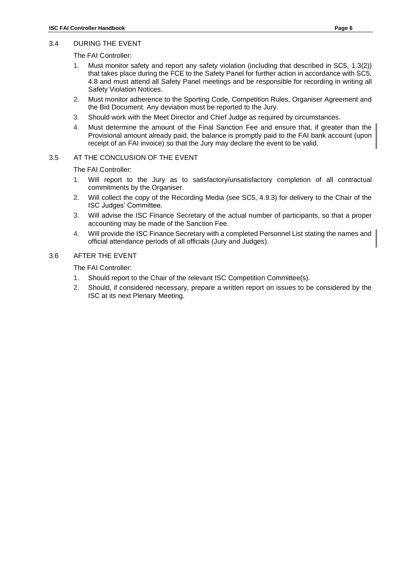#### <span id="page-7-0"></span>3.4 DURING THE EVENT

The FAI Controller:

- 1. Must monitor safety and report any safety violation (including that described in SC5, 1.3(2)) that takes place during the FCE to the Safety Panel for further action in accordance with SC5, 4.8 and must attend all Safety Panel meetings and be responsible for recording in writing all Safety Violation Notices.
- 2. Must monitor adherence to the Sporting Code, Competition Rules, Organiser Agreement and the Bid Document. Any deviation must be reported to the Jury.
- 3. Should work with the Meet Director and Chief Judge as required by circumstances.
- 4. Must determine the amount of the Final Sanction Fee and ensure that, if greater than the Provisional amount already paid, the balance is promptly paid to the FAI bank account (upon receipt of an FAI invoice) so that the Jury may declare the event to be valid.

#### <span id="page-7-1"></span>3.5 AT THE CONCLUSION OF THE EVENT

The FAI Controller:

- 1. Will report to the Jury as to satisfactory/unsatisfactory completion of all contractual commitments by the Organiser.
- 2. Will collect the copy of the Recording Media (see SC5, 4.9.3) for delivery to the Chair of the ISC Judges' Committee.
- 3. Will advise the ISC Finance Secretary of the actual number of participants, so that a proper accounting may be made of the Sanction Fee.
- 4. Will provide the ISC Finance Secretary with a completed Personnel List stating the names and official attendance periods of all officials (Jury and Judges).

#### <span id="page-7-2"></span>3.6 AFTER THE EVENT

The FAI Controller:

- 1. Should report to the Chair of the relevant ISC Competition Committee(s).
- <span id="page-7-3"></span>2. Should, if considered necessary, prepare a written report on issues to be considered by the ISC at its next Plenary Meeting.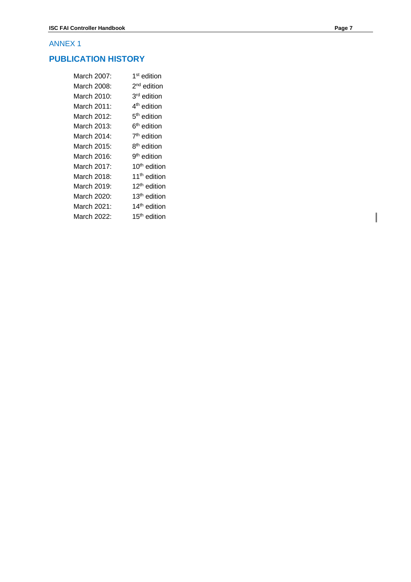### **PUBLICATION HISTORY**

| March 2007: | 1 <sup>st</sup> edition  |
|-------------|--------------------------|
| March 2008: | 2 <sup>nd</sup> edition  |
| March 2010: | 3 <sup>rd</sup> edition  |
| March 2011: | 4 <sup>th</sup> edition  |
| March 2012: | 5 <sup>th</sup> edition  |
| March 2013: | 6 <sup>th</sup> edition  |
| March 2014: | 7 <sup>th</sup> edition  |
| March 2015: | 8 <sup>th</sup> edition  |
| March 2016: | 9 <sup>th</sup> edition  |
| March 2017: | 10 <sup>th</sup> edition |
| March 2018: | 11 <sup>th</sup> edition |
| March 2019: | 12 <sup>th</sup> edition |
| March 2020: | 13 <sup>th</sup> edition |
| March 2021: | 14 <sup>th</sup> edition |
| March 2022: | 15 <sup>th</sup> edition |
|             |                          |

 $\overline{\phantom{a}}$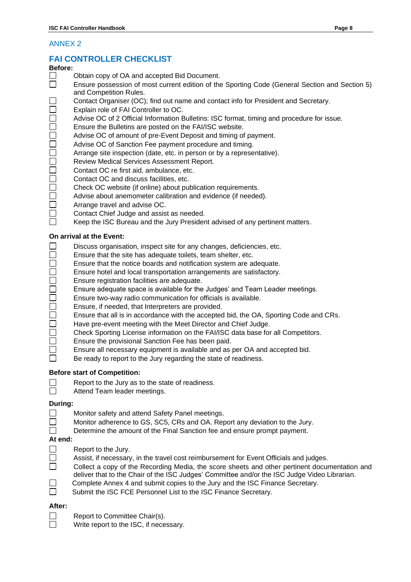### <span id="page-9-0"></span>**FAI CONTROLLER CHECKLIST**

#### **Before:**

- $\Box$ Obtain copy of OA and accepted Bid Document.
- $\Box$ Ensure possession of most current edition of the Sporting Code (General Section and Section 5) and Competition Rules.
- $\Box$ Contact Organiser (OC); find out name and contact info for President and Secretary.
- $\Box$ Explain role of FAI Controller to OC.
	- Advise OC of 2 Official Information Bulletins: ISC format, timing and procedure for issue.
- $\bar{\Box}$ Ensure the Bulletins are posted on the FAI/ISC website.
- Advise OC of amount of pre-Event Deposit and timing of payment.
- Advise OC of Sanction Fee payment procedure and timing.
- Arrange site inspection (date, etc. in person or by a representative).
- 0000000000 Review Medical Services Assessment Report.
- Contact OC re first aid, ambulance, etc.
- Contact OC and discuss facilities, etc.
- Check OC website (if online) about publication requirements.
- Advise about anemometer calibration and evidence (if needed).
- Arrange travel and advise OC.
- $\Box$ Contact Chief Judge and assist as needed.
- $\Box$ Keep the ISC Bureau and the Jury President advised of any pertinent matters.

#### **On arrival at the Event:**

- $\Box$ Discuss organisation, inspect site for any changes, deficiencies, etc.
- $\Box$ Ensure that the site has adequate toilets, team shelter, etc.
	- Ensure that the notice boards and notification system are adequate.
	- Ensure hotel and local transportation arrangements are satisfactory.
- 00000 Ensure registration facilities are adequate.
	- Ensure adequate space is available for the Judges' and Team Leader meetings.
	- Ensure two-way radio communication for officials is available.
- $\overline{\Box}$ Ensure, if needed, that Interpreters are provided.
	- Ensure that all is in accordance with the accepted bid, the OA, Sporting Code and CRs.
	- Have pre-event meeting with the Meet Director and Chief Judge.
- $\bar{\Xi}$ Check Sporting License information on the FAI/ISC data base for all Competitors.
- $\bar{\Box}$ Ensure the provisional Sanction Fee has been paid.
	- Ensure all necessary equipment is available and as per OA and accepted bid.
- $\Box$ Be ready to report to the Jury regarding the state of readiness.

### **Before start of Competition:**

- $\Box$ Report to the Jury as to the state of readiness.  $\Box$ 
	- Attend Team leader meetings.

### **During:**

 $\Box$ 

- Monitor safety and attend Safety Panel meetings.
- $\Box$ Monitor adherence to GS, SC5, CRs and OA. Report any deviation to the Jury.
- $\Box$ Determine the amount of the Final Sanction fee and ensure prompt payment.

### **At end:**

- $\Box$ Report to the Jury.
- $\Box$ Assist, if necessary, in the travel cost reimbursement for Event Officials and judges.  $\Box$ 
	- Collect a copy of the Recording Media, the score sheets and other pertinent documentation and deliver that to the Chair of the ISC Judges' Committee and/or the ISC Judge Video Librarian.
- $\Box$  Complete Annex 4 and submit copies to the Jury and the ISC Finance Secretary.
- Submit the ISC FCE Personnel List to the ISC Finance Secretary.

### **After:**

- $\Box$ Report to Committee Chair(s).
- $\Box$ Write report to the ISC, if necessary.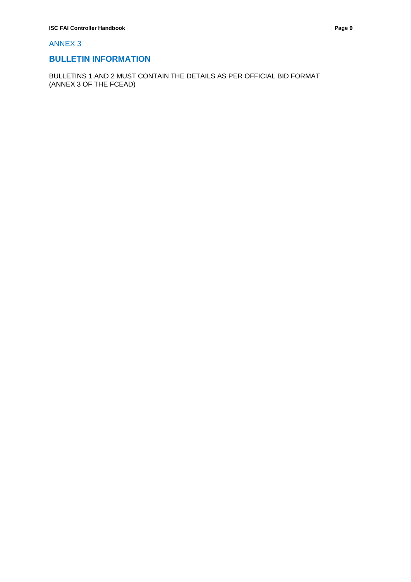### <span id="page-10-0"></span>**BULLETIN INFORMATION**

BULLETINS 1 AND 2 MUST CONTAIN THE DETAILS AS PER OFFICIAL BID FORMAT (ANNEX 3 OF THE FCEAD)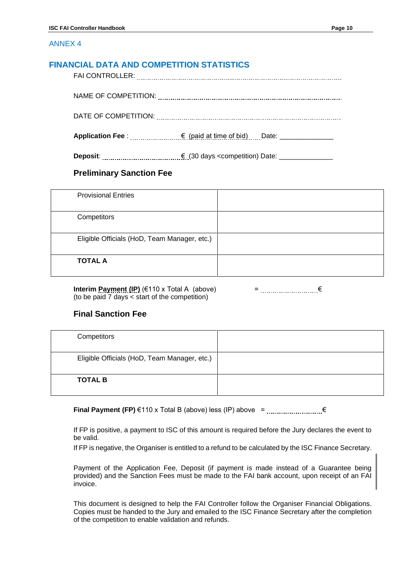### **FINANCIAL DATA AND COMPETITION STATISTICS**

NAME OF COMPETITION:

DATE OF COMPETITION:

**Application Fee** : € (paid at time of bid) Date: \_\_\_\_\_\_\_\_\_\_\_\_\_\_

**Deposit**: € (30 days <competition) Date: \_\_\_\_\_\_\_\_\_\_\_\_\_\_

### **Preliminary Sanction Fee**

| <b>Provisional Entries</b>                   |  |
|----------------------------------------------|--|
| Competitors                                  |  |
| Eligible Officials (HoD, Team Manager, etc.) |  |
| <b>TOTAL A</b>                               |  |

**Interim Payment (IP)** (€110 x Total A (above)  $=$   $\ldots$  =  $\ldots$  =  $\ldots$   $\in$   $\in$ (to be paid 7 days < start of the competition)

### **Final Sanction Fee**

| Competitors                                  |  |
|----------------------------------------------|--|
| Eligible Officials (HoD, Team Manager, etc.) |  |
| <b>TOTAL B</b>                               |  |

**Final Payment (FP)** €110 x Total B (above) less (IP) above =  $\frac{1}{2}$ 

If FP is positive, a payment to ISC of this amount is required before the Jury declares the event to be valid.

If FP is negative, the Organiser is entitled to a refund to be calculated by the ISC Finance Secretary.

Payment of the Application Fee, Deposit (if payment is made instead of a Guarantee being provided) and the Sanction Fees must be made to the FAI bank account, upon receipt of an FAI invoice.

This document is designed to help the FAI Controller follow the Organiser Financial Obligations. Copies must be handed to the Jury and emailed to the ISC Finance Secretary after the completion of the competition to enable validation and refunds.